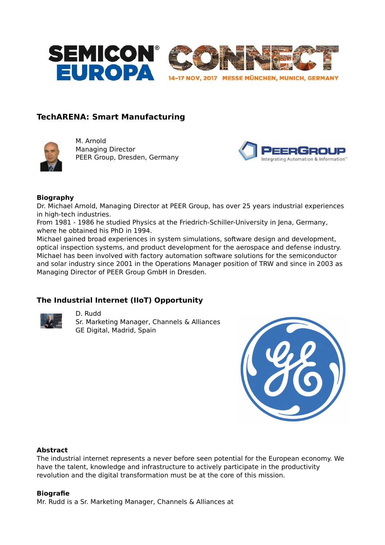

# **TechARENA: Smart Manufacturing**



M. Arnold Managing Director PEER Group, Dresden, Germany



#### **Biography**

Dr. Michael Arnold, Managing Director at PEER Group, has over 25 years industrial experiences in high-tech industries.

From 1981 - 1986 he studied Physics at the Friedrich-Schiller-University in Jena, Germany, where he obtained his PhD in 1994.

Michael gained broad experiences in system simulations, software design and development, optical inspection systems, and product development for the aerospace and defense industry. Michael has been involved with factory automation software solutions for the semiconductor and solar industry since 2001 in the Operations Manager position of TRW and since in 2003 as Managing Director of PEER Group GmbH in Dresden.

### **The Industrial Internet (IIoT) Opportunity**



D. Rudd Sr. Marketing Manager, Channels & Alliances GE Digital, Madrid, Spain



#### **Abstract**

The industrial internet represents a never before seen potential for the European economy. We have the talent, knowledge and infrastructure to actively participate in the productivity revolution and the digital transformation must be at the core of this mission.

#### **Biografie**

Mr. Rudd is a Sr. Marketing Manager, Channels & Alliances at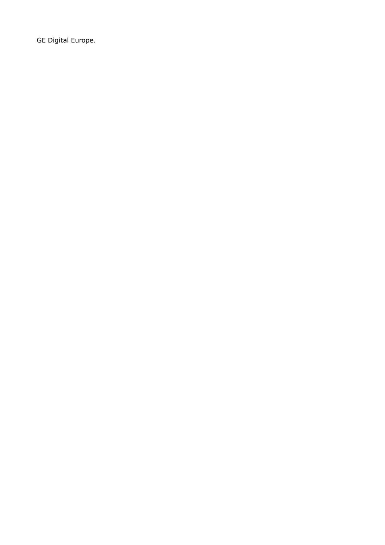GE Digital Europe.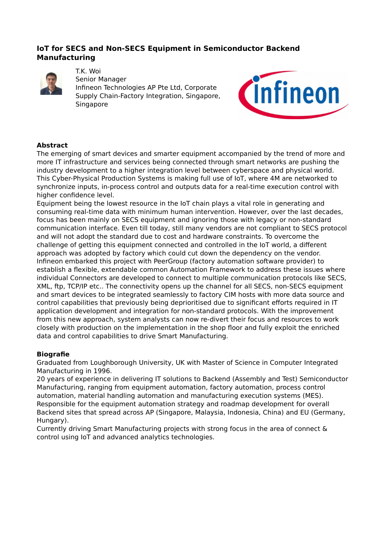## **IoT for SECS and Non-SECS Equipment in Semiconductor Backend Manufacturing**



T.K. Woi Senior Manager Infineon Technologies AP Pte Ltd, Corporate Supply Chain-Factory Integration, Singapore, Singapore



### **Abstract**

The emerging of smart devices and smarter equipment accompanied by the trend of more and more IT infrastructure and services being connected through smart networks are pushing the industry development to a higher integration level between cyberspace and physical world. This Cyber-Physical Production Systems is making full use of IoT, where 4M are networked to synchronize inputs, in-process control and outputs data for a real-time execution control with higher confidence level.

Equipment being the lowest resource in the IoT chain plays a vital role in generating and consuming real-time data with minimum human intervention. However, over the last decades, focus has been mainly on SECS equipment and ignoring those with legacy or non-standard communication interface. Even till today, still many vendors are not compliant to SECS protocol and will not adopt the standard due to cost and hardware constraints. To overcome the challenge of getting this equipment connected and controlled in the IoT world, a different approach was adopted by factory which could cut down the dependency on the vendor. Infineon embarked this project with PeerGroup (factory automation software provider) to establish a flexible, extendable common Automation Framework to address these issues where individual Connectors are developed to connect to multiple communication protocols like SECS, XML, ftp, TCP/IP etc.. The connectivity opens up the channel for all SECS, non-SECS equipment and smart devices to be integrated seamlessly to factory CIM hosts with more data source and control capabilities that previously being deprioritised due to significant efforts required in IT application development and integration for non-standard protocols. With the improvement from this new approach, system analysts can now re-divert their focus and resources to work closely with production on the implementation in the shop floor and fully exploit the enriched data and control capabilities to drive Smart Manufacturing.

#### **Biografie**

Graduated from Loughborough University, UK with Master of Science in Computer Integrated Manufacturing in 1996.

20 years of experience in delivering IT solutions to Backend (Assembly and Test) Semiconductor Manufacturing, ranging from equipment automation, factory automation, process control automation, material handling automation and manufacturing execution systems (MES). Responsible for the equipment automation strategy and roadmap development for overall Backend sites that spread across AP (Singapore, Malaysia, Indonesia, China) and EU (Germany, Hungary).

Currently driving Smart Manufacturing projects with strong focus in the area of connect & control using IoT and advanced analytics technologies.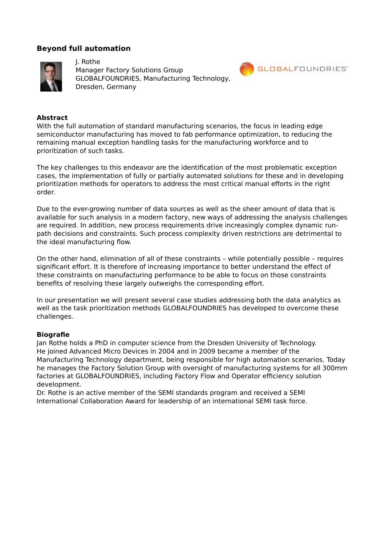### **Beyond full automation**



J. Rothe Manager Factory Solutions Group GLOBALFOUNDRIES, Manufacturing Technology, Dresden, Germany



#### **Abstract**

With the full automation of standard manufacturing scenarios, the focus in leading edge semiconductor manufacturing has moved to fab performance optimization, to reducing the remaining manual exception handling tasks for the manufacturing workforce and to prioritization of such tasks.

The key challenges to this endeavor are the identification of the most problematic exception cases, the implementation of fully or partially automated solutions for these and in developing prioritization methods for operators to address the most critical manual efforts in the right order.

Due to the ever-growing number of data sources as well as the sheer amount of data that is available for such analysis in a modern factory, new ways of addressing the analysis challenges are required. In addition, new process requirements drive increasingly complex dynamic runpath decisions and constraints. Such process complexity driven restrictions are detrimental to the ideal manufacturing flow.

On the other hand, elimination of all of these constraints – while potentially possible – requires significant effort. It is therefore of increasing importance to better understand the effect of these constraints on manufacturing performance to be able to focus on those constraints benefits of resolving these largely outweighs the corresponding effort.

In our presentation we will present several case studies addressing both the data analytics as well as the task prioritization methods GLOBALFOUNDRIES has developed to overcome these challenges.

#### **Biografie**

Jan Rothe holds a PhD in computer science from the Dresden University of Technology. He joined Advanced Micro Devices in 2004 and in 2009 became a member of the Manufacturing Technology department, being responsible for high automation scenarios. Today he manages the Factory Solution Group with oversight of manufacturing systems for all 300mm factories at GLOBALFOUNDRIES, including Factory Flow and Operator efficiency solution development.

Dr. Rothe is an active member of the SEMI standards program and received a SEMI International Collaboration Award for leadership of an international SEMI task force.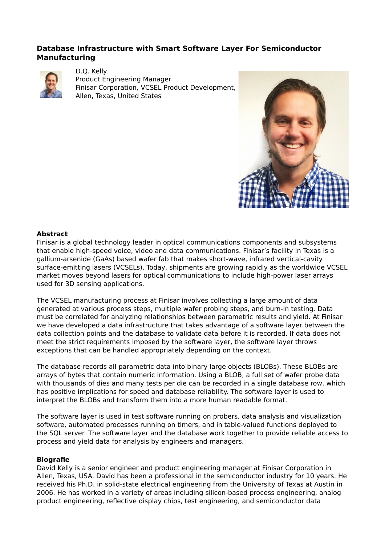## **Database Infrastructure with Smart Software Layer For Semiconductor Manufacturing**



D.Q. Kelly Product Engineering Manager Finisar Corporation, VCSEL Product Development, Allen, Texas, United States



#### **Abstract**

Finisar is a global technology leader in optical communications components and subsystems that enable high-speed voice, video and data communications. Finisar's facility in Texas is a gallium-arsenide (GaAs) based wafer fab that makes short-wave, infrared vertical-cavity surface-emitting lasers (VCSELs). Today, shipments are growing rapidly as the worldwide VCSEL market moves beyond lasers for optical communications to include high-power laser arrays used for 3D sensing applications.

The VCSEL manufacturing process at Finisar involves collecting a large amount of data generated at various process steps, multiple wafer probing steps, and burn-in testing. Data must be correlated for analyzing relationships between parametric results and yield. At Finisar we have developed a data infrastructure that takes advantage of a software layer between the data collection points and the database to validate data before it is recorded. If data does not meet the strict requirements imposed by the software layer, the software layer throws exceptions that can be handled appropriately depending on the context.

The database records all parametric data into binary large objects (BLOBs). These BLOBs are arrays of bytes that contain numeric information. Using a BLOB, a full set of wafer probe data with thousands of dies and many tests per die can be recorded in a single database row, which has positive implications for speed and database reliability. The software layer is used to interpret the BLOBs and transform them into a more human readable format.

The software layer is used in test software running on probers, data analysis and visualization software, automated processes running on timers, and in table-valued functions deployed to the SQL server. The software layer and the database work together to provide reliable access to process and yield data for analysis by engineers and managers.

#### **Biografie**

David Kelly is a senior engineer and product engineering manager at Finisar Corporation in Allen, Texas, USA. David has been a professional in the semiconductor industry for 10 years. He received his Ph.D. in solid-state electrical engineering from the University of Texas at Austin in 2006. He has worked in a variety of areas including silicon-based process engineering, analog product engineering, reflective display chips, test engineering, and semiconductor data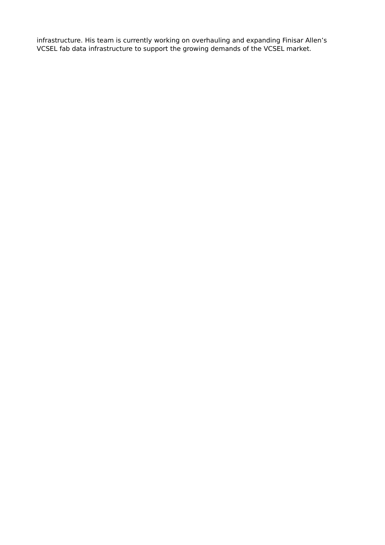infrastructure. His team is currently working on overhauling and expanding Finisar Allen's VCSEL fab data infrastructure to support the growing demands of the VCSEL market.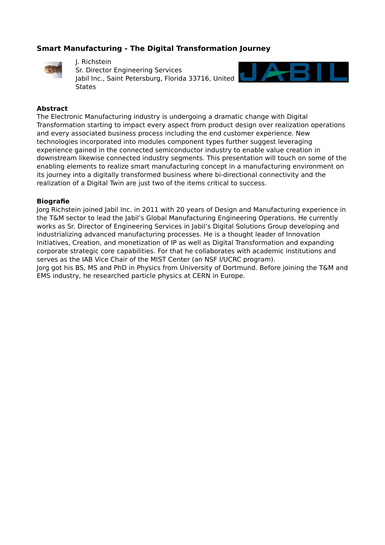# **Smart Manufacturing - The Digital Transformation Journey**



J. Richstein Sr. Director Engineering Services Jabil Inc., Saint Petersburg, Florida 33716, United **States** 



#### **Abstract**

The Electronic Manufacturing industry is undergoing a dramatic change with Digital Transformation starting to impact every aspect from product design over realization operations and every associated business process including the end customer experience. New technologies incorporated into modules component types further suggest leveraging experience gained in the connected semiconductor industry to enable value creation in downstream likewise connected industry segments. This presentation will touch on some of the enabling elements to realize smart manufacturing concept in a manufacturing environment on its journey into a digitally transformed business where bi-directional connectivity and the realization of a Digital Twin are just two of the items critical to success.

#### **Biografie**

Jorg Richstein joined Jabil Inc. in 2011 with 20 years of Design and Manufacturing experience in the T&M sector to lead the Jabil's Global Manufacturing Engineering Operations. He currently works as Sr. Director of Engineering Services in Jabil's Digital Solutions Group developing and industrializing advanced manufacturing processes. He is a thought leader of Innovation Initiatives, Creation, and monetization of IP as well as Digital Transformation and expanding corporate strategic core capabilities. For that he collaborates with academic institutions and serves as the IAB Vice Chair of the MIST Center (an NSF I/UCRC program). Jorg got his BS, MS and PhD in Physics from University of Dortmund. Before joining the T&M and

EMS industry, he researched particle physics at CERN in Europe.